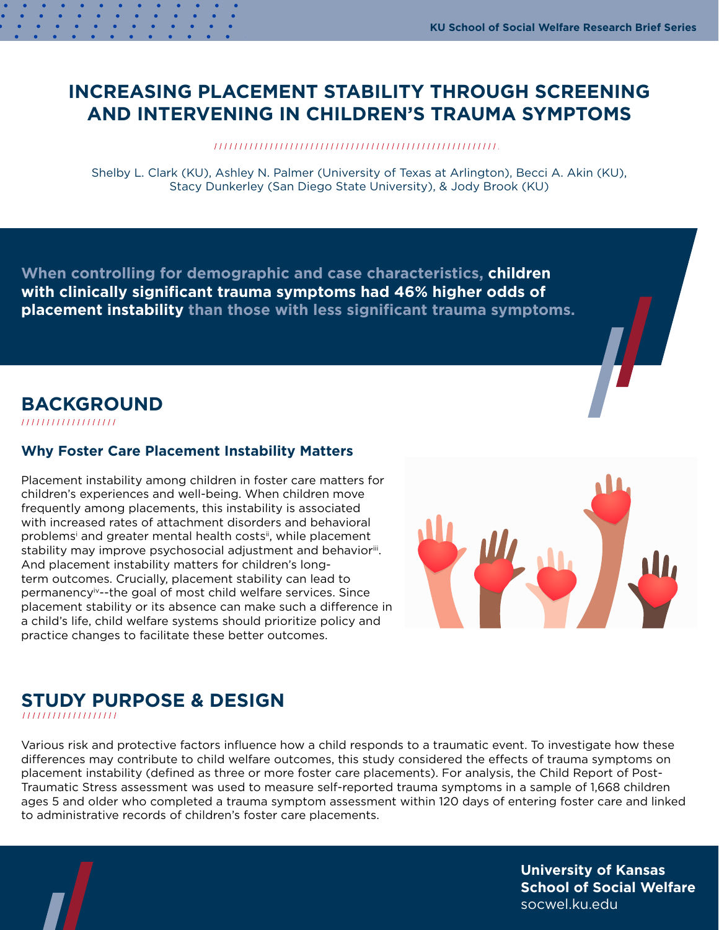# <span id="page-0-0"></span>**INCREASING PLACEMENT STABILITY THROUGH SCREENING AND INTERVENING IN CHILDREN'S TRAUMA SYMPTOMS**

Shelby L. Clark (KU), Ashley N. Palmer (University of Texas at Arlington), Becci A. Akin (KU), Stacy Dunkerley (San Diego State University), & Jody Brook (KU)

**When controlling for demographic and case characteristics, children with clinically significant trauma symptoms had 46% higher odds of placement instability than those with less significant trauma symptoms.**

## **BACKGROUND**

////////////////////

#### **Why Foster Care Placement Instability Matters**

Placement instability among children in foster care matters for children's experiences and well-being. When children move frequently among placements, this instability is associated with increased rates of attachment disorders and behavioral problems<sup>[i](#page-2-0)</sup> and greater mental health costs<sup>ii</sup>, while placement stability may improve psychosocial adjustment and behavior[iii](#page-2-0). And placement instability matters for children's longterm outcomes. Crucially, placement stability can lead to permanency[iv-](#page-2-0)-the goal of most child welfare services. Since placement stability or its absence can make such a difference in a child's life, child welfare systems should prioritize policy and practice changes to facilitate these better outcomes.



# **STUDY PURPOSE & DESIGN**

Various risk and protective factors influence how a child responds to a traumatic event. To investigate how these differences may contribute to child welfare outcomes, this study considered the effects of trauma symptoms on placement instability (defined as three or more foster care placements). For analysis, the Child Report of Post-Traumatic Stress assessment was used to measure self-reported trauma symptoms in a sample of 1,668 children ages 5 and older who completed a trauma symptom assessment within 120 days of entering foster care and linked to administrative records of children's foster care placements.

> **University of Kansas School of Social Welfare** socwel.ku.edu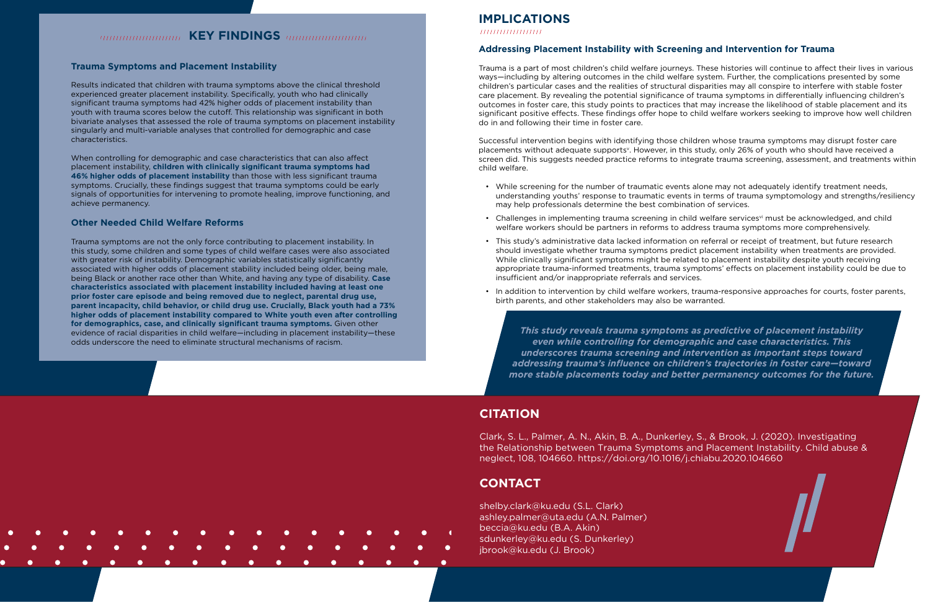## **IMPLICATIONS**

### **Addressing Placement Instability with Screening and Intervention for Trauma**

Trauma is a part of most children's child welfare journeys. These histories will continue to affect their lives in various ways—including by altering outcomes in the child welfare system. Further, the complications presented by some children's particular cases and the realities of structural disparities may all conspire to interfere with stable foster care placement. By revealing the potential significance of trauma symptoms in differentially influencing children's outcomes in foster care, this study points to practices that may increase the likelihood of stable placement and its significant positive effects. These findings offer hope to child welfare workers seeking to improve how well children do in and following their time in foster care.

Successful intervention begins with identifying those children whose trauma symptoms may disrupt foster care placements without adequate supports<sup>y</sup>. Howe[v](#page-2-0)er, in this study, only 26% of youth who should have received a screen did. This suggests needed practice reforms to integrate trauma screening, assessment, and treatments within child welfare.

• While screening for the number of traumatic events alone may not adequately identify treatment needs, understanding youths' response to traumatic events in terms of trauma symptomology and strengths/resiliency

• Challenges in implementing trauma screening in child welfare services<sup>yi</sup> must be acknowledged, and child

- may help professionals determine the best combination of services.
- welfare workers should be partners in reforms to address trauma symptoms more comprehensively.
- insufficient and/or inappropriate referrals and services.
- birth parents, and other stakeholders may also be warranted.

• This study's administrative data lacked information on referral or receipt of treatment, but future research should investigate whether trauma symptoms predict placement instability when treatments are provided. While clinically significant symptoms might be related to placement instability despite youth receiving appropriate trauma-informed treatments, trauma symptoms' effects on placement instability could be due to

• In addition to intervention by child welfare workers, trauma-responsive approaches for courts, foster parents,

## **KEY FINDINGS** *Management and*

#### <span id="page-1-0"></span>**Trauma Symptoms and Placement Instability**

Results indicated that children with trauma symptoms above the clinical threshold experienced greater placement instability. Specifically, youth who had clinically significant trauma symptoms had 42% higher odds of placement instability than youth with trauma scores below the cutoff. This relationship was significant in both bivariate analyses that assessed the role of trauma symptoms on placement instability singularly and multi-variable analyses that controlled for demographic and case characteristics.

When controlling for demographic and case characteristics that can also affect placement instability, **children with clinically significant trauma symptoms had 46% higher odds of placement instability** than those with less significant trauma symptoms. Crucially, these findings suggest that trauma symptoms could be early signals of opportunities for intervening to promote healing, improve functioning, and achieve permanency.

#### **Other Needed Child Welfare Reforms**

Trauma symptoms are not the only force contributing to placement instability. In this study, some children and some types of child welfare cases were also associated with greater risk of instability. Demographic variables statistically significantly associated with higher odds of placement stability included being older, being male, being Black or another race other than White, and having any type of disability. **Case characteristics associated with placement instability included having at least one prior foster care episode and being removed due to neglect, parental drug use, parent incapacity, child behavior, or child drug use. Crucially, Black youth had a 73% higher odds of placement instability compared to White youth even after controlling for demographics, case, and clinically significant trauma symptoms.** Given other evidence of racial disparities in child welfare—including in placement instability—these odds underscore the need to eliminate structural mechanisms of racism.

## **CITATION**

Clark, S. L., Palmer, A. N., Akin, B. A., Dunkerley, S., & Brook, J. (2020). Investigating the Relationship between Trauma Symptoms and Placement Instability. Child abuse & neglect, 108, 104660. <https://doi.org/10.1016/j.chiabu.2020.104660>

## **CONTACT**

[shelby.clark@ku.edu](mailto:shelby.clark%40ku.edu?subject=) (S.L. Clark) [ashley.palmer@uta.edu](mailto:ashley.palmer%40uta.edu?subject=) (A.N. Palmer) [beccia@ku.edu](mailto:beccia%40ku.edu?subject=) (B.A. Akin) [sdunkerley@ku.edu](mailto:sdunkerley%40ku.edu?subject=) (S. Dunkerley) [jbrook@ku.edu](mailto:jbrook%40ku.edu?subject=) (J. Brook)

*This study reveals trauma symptoms as predictive of placement instability even while controlling for demographic and case characteristics. This underscores trauma screening and intervention as important steps toward addressing trauma's influence on children's trajectories in foster care—toward more stable placements today and better permanency outcomes for the future.*